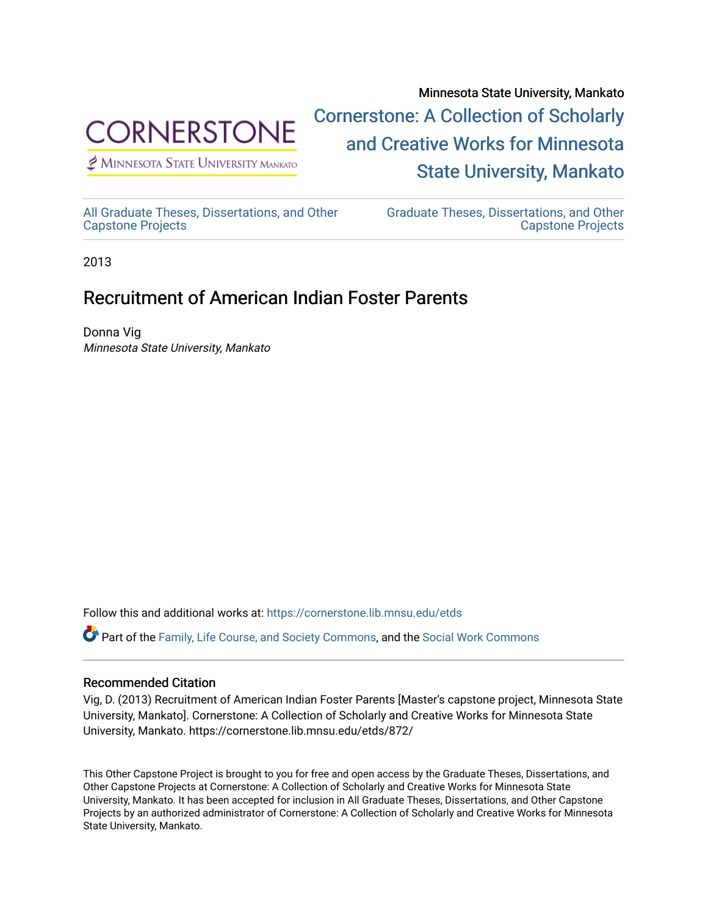

 $<sup>2</sup>$  Minnesota State University Mankato</sup>

Minnesota State University, Mankato [Cornerstone: A Collection of Scholarly](https://cornerstone.lib.mnsu.edu/)  [and Creative Works for Minnesota](https://cornerstone.lib.mnsu.edu/)  [State University, Mankato](https://cornerstone.lib.mnsu.edu/) 

[All Graduate Theses, Dissertations, and Other](https://cornerstone.lib.mnsu.edu/etds)  [Capstone Projects](https://cornerstone.lib.mnsu.edu/etds) 

[Graduate Theses, Dissertations, and Other](https://cornerstone.lib.mnsu.edu/theses_dissertations-capstone)  [Capstone Projects](https://cornerstone.lib.mnsu.edu/theses_dissertations-capstone) 

2013

### Recruitment of American Indian Foster Parents

Donna Vig Minnesota State University, Mankato

Follow this and additional works at: [https://cornerstone.lib.mnsu.edu/etds](https://cornerstone.lib.mnsu.edu/etds?utm_source=cornerstone.lib.mnsu.edu%2Fetds%2F872&utm_medium=PDF&utm_campaign=PDFCoverPages) 

Part of the [Family, Life Course, and Society Commons,](http://network.bepress.com/hgg/discipline/419?utm_source=cornerstone.lib.mnsu.edu%2Fetds%2F872&utm_medium=PDF&utm_campaign=PDFCoverPages) and the [Social Work Commons](http://network.bepress.com/hgg/discipline/713?utm_source=cornerstone.lib.mnsu.edu%2Fetds%2F872&utm_medium=PDF&utm_campaign=PDFCoverPages) 

### Recommended Citation

Vig, D. (2013) Recruitment of American Indian Foster Parents [Master's capstone project, Minnesota State University, Mankato]. Cornerstone: A Collection of Scholarly and Creative Works for Minnesota State University, Mankato. https://cornerstone.lib.mnsu.edu/etds/872/

This Other Capstone Project is brought to you for free and open access by the Graduate Theses, Dissertations, and Other Capstone Projects at Cornerstone: A Collection of Scholarly and Creative Works for Minnesota State University, Mankato. It has been accepted for inclusion in All Graduate Theses, Dissertations, and Other Capstone Projects by an authorized administrator of Cornerstone: A Collection of Scholarly and Creative Works for Minnesota State University, Mankato.